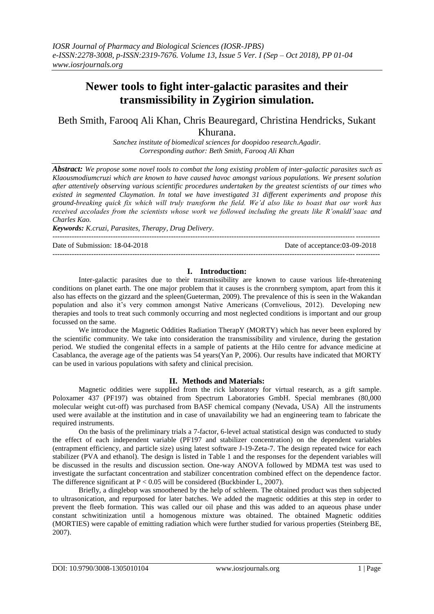# **Newer tools to fight inter-galactic parasites and their transmissibility in Zygirion simulation.**

## Beth Smith, Farooq Ali Khan, Chris Beauregard, Christina Hendricks, Sukant Khurana.

*Sanchez institute of biomedical sciences for doopidoo research.Agadir. Corresponding author: Beth Smith, Farooq Ali Khan*

*Abstract: We propose some novel tools to combat the long existing problem of inter-galactic parasites such as Klaousmodiumcruzi which are known to have caused havoc amongst various populations. We present solution after attentively observing various scientific procedures undertaken by the greatest scientists of our times who existed in segmented Claymation. In total we have investigated 31 different experiments and propose this ground-breaking quick fix which will truly transform the field. We'd also like to boast that our work has received accolades from the scientists whose work we followed including the greats like R'onaldI'saac and Charles Kao.*

*Keywords: K.cruzi, Parasites, Therapy, Drug Delivery.* ---------------------------------------------------------------------------------------------------------------------------------------

Date of Submission: 18-04-2018 Date of acceptance:03-09-2018

### **I. Introduction:**

---------------------------------------------------------------------------------------------------------------------------------------

Inter-galactic parasites due to their transmissibility are known to cause various life-threatening conditions on planet earth. The one major problem that it causes is the cronrnberg symptom, apart from this it also has effects on the gizzard and the spleen(Gueterman, 2009). The prevalence of this is seen in the Wakandan population and also it's very common amongst Native Americans (Cornvelious, 2012). Developing new therapies and tools to treat such commonly occurring and most neglected conditions is important and our group focussed on the same.

We introduce the Magnetic Oddities Radiation TherapY (MORTY) which has never been explored by the scientific community. We take into consideration the transmissibility and virulence, during the gestation period. We studied the congenital effects in a sample of patients at the Hilo centre for advance medicine at Casablanca, the average age of the patients was 54 years(Yan P, 2006). Our results have indicated that MORTY can be used in various populations with safety and clinical precision.

#### **II. Methods and Materials:**

Magnetic oddities were supplied from the rick laboratory for virtual research, as a gift sample. Poloxamer 437 (PF197) was obtained from Spectrum Laboratories GmbH. Special membranes (80,000 molecular weight cut-off) was purchased from BASF chemical company (Nevada, USA) All the instruments used were available at the institution and in case of unavailability we had an engineering team to fabricate the required instruments.

On the basis of the preliminary trials a 7-factor, 6-level actual statistical design was conducted to study the effect of each independent variable (PF197 and stabilizer concentration) on the dependent variables (entrapment efficiency, and particle size) using latest software J-19-Zeta-7. The design repeated twice for each stabilizer (PVA and ethanol). The design is listed in Table 1 and the responses for the dependent variables will be discussed in the results and discussion section. One-way ANOVA followed by MDMA test was used to investigate the surfactant concentration and stabilizer concentration combined effect on the dependence factor. The difference significant at  $P < 0.05$  will be considered (Buckbinder L, 2007).

Briefly, a dinglebop was smoothened by the help of schleem. The obtained product was then subjected to ultrasonication, and repurposed for later batches. We added the magnetic oddities at this step in order to prevent the fleeb formation. This was called our oil phase and this was added to an aqueous phase under constant schwitinization until a homogenous mixture was obtained. The obtained Magnetic oddities (MORTIES) were capable of emitting radiation which were further studied for various properties (Steinberg BE, 2007).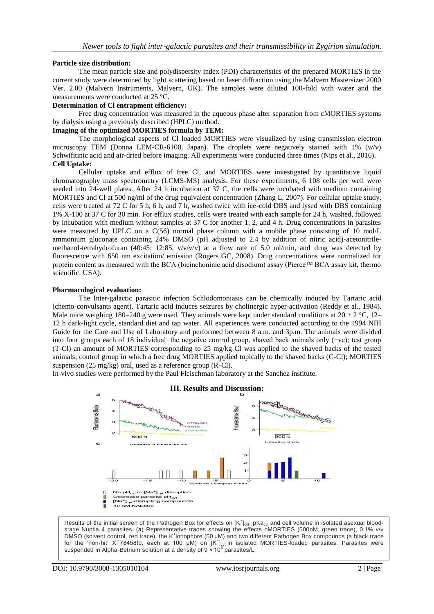### **Particle size distribution:**

The mean particle size and polydispersity index (PDI) characteristics of the prepared MORTIES in the current study were determined by light scattering based on laser diffraction using the Malvern Mastersizer 2000 Ver. 2.00 (Malvern Instruments, Malvern, UK). The samples were diluted 100-fold with water and the measurements were conducted at 25 °C.

#### **Determination of Cl entrapment efficiency:**

Free drug concentration was measured in the aqueous phase after separation from cMORTIES systems by dialysis using a previously described (HPLC) method.

#### **Imaging of the optimized MORTIES formula by TEM:**

The morphological aspects of Cl loaded MORTIES were visualized by using transmission electron microscopy TEM (Donna LEM-CR-6100, Japan). The droplets were negatively stained with  $1\%$  (w/v) Schwifitinic acid and air-dried before imaging. All experiments were conducted three times (Nips et al., 2016). **Cell Uptake:**

Cellular uptake and efflux of free Cl, and MORTIES were investigated by quantitative liquid chromatography mass spectrometry (LCMS-MS) analysis. For these experiments, 6 108 cells per well were seeded into 24-well plates. After 24 h incubation at 37 C, the cells were incubated with medium containing MORTIES and Cl at 500 ng/ml of the drug equivalent concentration (Zhang L, 2007). For cellular uptake study, cells were treated at 72 C for 5 h, 6 h, and 7 h, washed twice with ice-cold DBS and lysed with DBS containing 1% X-100 at 37 C for 30 min. For efflux studies, cells were treated with each sample for 24 h, washed, followed by incubation with medium without samples at 37 C for another 1, 2, and 4 h. Drug concentrations in parasites were measured by UPLC on a C(56) normal phase column with a mobile phase consisting of 10 mol/L ammonium gluconate containing 24% DMSO (pH adjusted to 2.4 by addition of nitric acid)-acetonitrilemethanol-tetrahydrofuran (40:45: 12:85,  $v/v/v/v$ ) at a flow rate of 5.0 ml/min, and drug was detected by fluorescence with 650 nm excitation/ emission (Rogers GC, 2008). Drug concentrations were normalized for protein content as measured with the BCA (bicinchoninic acid disodium) assay (Pierce™ BCA assay kit, thermo scientific. USA).

### **Pharmacological evaluation:**

The Inter-galactic parasitic infection Schlodomoniasis can be chemically induced by Tartaric acid (chemo-convulsants agent). Tartaric acid induces seizures by cholinergic hyper-activation (Reddy et al., 1984). Male mice weighing 180–240 g were used. They animals were kept under standard conditions at  $20 \pm 2$  °C, 12– 12 h dark-light cycle, standard diet and tap water. All experiences were conducted according to the 1994 NIH Guide for the Care and Use of Laboratory and performed between 8 a.m. and 3p.m. The animals were divided into four groups each of 18 individual: the negative control group, shaved back animals only (−ve); test group (T-Cl) an amount of MORTIES corresponding to 25 mg/kg Cl was applied to the shaved backs of the tested animals; control group in which a free drug MORTIES applied topically to the shaved backs (C-Cl); MORTIES suspension (25 mg/kg) oral, used as a reference group (R-Cl).

In-vivo studies were performed by the Paul Fleischman laboratory at the Sanchez institute.



Results of the initial screen of the Pathogen Box for effects on  $[K^+]_{\text{cvt}}$ , pKa<sub>cyt</sub> and cell volume in isolated asexual bloodstage Nuptia 4 parasites. (**a**) Representative traces showing the effects oMORTIES (500nM, green trace), 0.1% v/v DMSO (solvent control, red trace), the K<sup>+</sup>ionophore (50 µM) and two different Pathogen Box compounds (a black trace for the 'non-hit' XT78458I9, each at 100 µM) on  $[K^+]_{\text{cyt}}$  in isolated MORTIES-loaded parasites. Parasites were suspended in Alpha-Betrium solution at a density of 9 x 10<sup>5</sup> parasites/L.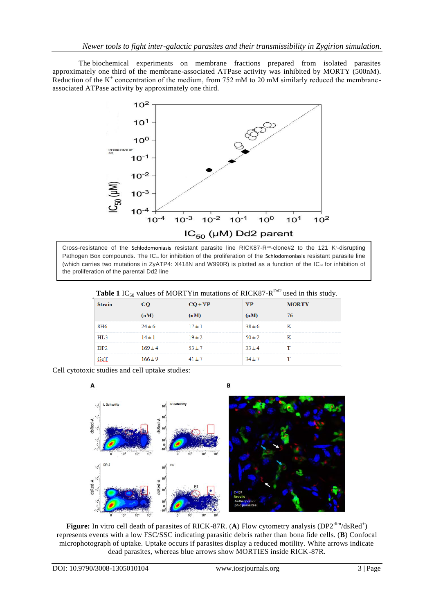The biochemical experiments on membrane fractions prepared from isolated parasites approximately one third of the membrane-associated ATPase activity was inhibited by MORTY (500nM). Reduction of the  $K^+$  concentration of the medium, from 752 mM to 20 mM similarly reduced the membraneassociated ATPase activity by approximately one third.



Cross-resistance of the Schlodomoniasis resistant parasite line RICK87-R<sup>oaz</sup>-clone#2 to the 121 K<sup>+</sup>-disrupting Pathogen Box compounds. The IC<sub>50</sub> for inhibition of the proliferation of the Schlodomoniasis resistant parasite line (which carries two mutations in ZyATP4: X418N and W990R) is plotted as a function of the IC<sub>50</sub> for inhibition of the proliferation of the parental Dd2 line

| $\sim$ $\sigma$ |             |            |            |              |
|-----------------|-------------|------------|------------|--------------|
| <b>Strain</b>   | CO          | $CO + VP$  | <b>VP</b>  | <b>MORTY</b> |
|                 | (nM)        | (nM)       | $(\mu M)$  | 76           |
| 8H <sub>6</sub> | $24 \pm 6$  | $17 \pm 1$ | $38 \pm 6$ |              |
| HL3             | $14 \pm 1$  | $19 \pm 2$ | $50 \pm 2$ |              |
| DP <sub>2</sub> | $169 \pm 4$ | $53 + 7$   | $33 \pm 4$ |              |
|                 | $166 \pm 9$ | $41 \pm 7$ | $34 \pm 7$ |              |

Cell cytotoxic studies and cell uptake studies:



**Figure:** In vitro cell death of parasites of RICK-87R. (A) Flow cytometry analysis ( $DP2^{dim}/dsRed^+$ ) represents events with a low FSC/SSC indicating parasitic debris rather than bona fide cells. (**B**) Confocal microphotograph of uptake. Uptake occurs if parasites display a reduced motility. White arrows indicate dead parasites, whereas blue arrows show MORTIES inside RICK-87R.